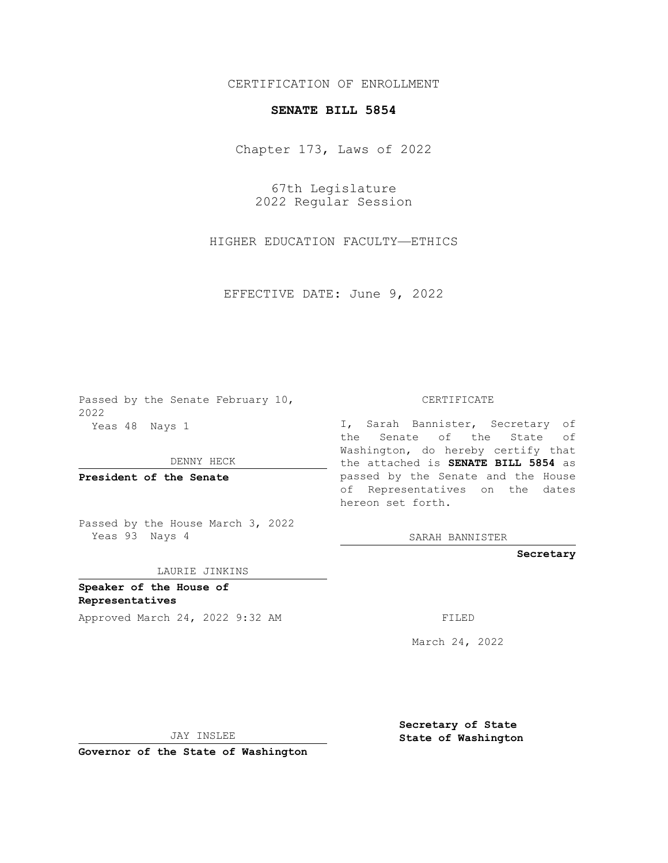## CERTIFICATION OF ENROLLMENT

## **SENATE BILL 5854**

Chapter 173, Laws of 2022

67th Legislature 2022 Regular Session

HIGHER EDUCATION FACULTY—ETHICS

EFFECTIVE DATE: June 9, 2022

Passed by the Senate February 10, 2022 Yeas 48 Nays 1

DENNY HECK

**President of the Senate**

Passed by the House March 3, 2022 Yeas 93 Nays 4

LAURIE JINKINS

**Speaker of the House of Representatives** Approved March 24, 2022 9:32 AM

CERTIFICATE

I, Sarah Bannister, Secretary of the Senate of the State of Washington, do hereby certify that the attached is **SENATE BILL 5854** as passed by the Senate and the House of Representatives on the dates hereon set forth.

SARAH BANNISTER

**Secretary**

March 24, 2022

JAY INSLEE

**Secretary of State State of Washington**

**Governor of the State of Washington**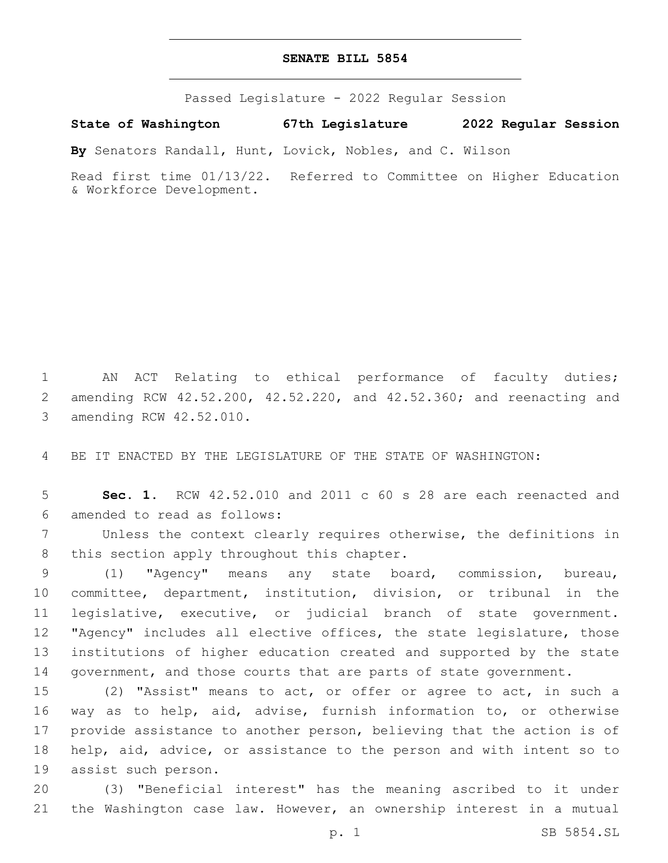## **SENATE BILL 5854**

Passed Legislature - 2022 Regular Session

**State of Washington 67th Legislature 2022 Regular Session**

**By** Senators Randall, Hunt, Lovick, Nobles, and C. Wilson

Read first time 01/13/22. Referred to Committee on Higher Education & Workforce Development.

1 AN ACT Relating to ethical performance of faculty duties; 2 amending RCW 42.52.200, 42.52.220, and 42.52.360; and reenacting and 3 amending RCW 42.52.010.

4 BE IT ENACTED BY THE LEGISLATURE OF THE STATE OF WASHINGTON:

5 **Sec. 1.** RCW 42.52.010 and 2011 c 60 s 28 are each reenacted and amended to read as follows:6

7 Unless the context clearly requires otherwise, the definitions in 8 this section apply throughout this chapter.

 (1) "Agency" means any state board, commission, bureau, committee, department, institution, division, or tribunal in the legislative, executive, or judicial branch of state government. "Agency" includes all elective offices, the state legislature, those institutions of higher education created and supported by the state 14 government, and those courts that are parts of state government.

 (2) "Assist" means to act, or offer or agree to act, in such a way as to help, aid, advise, furnish information to, or otherwise provide assistance to another person, believing that the action is of help, aid, advice, or assistance to the person and with intent so to 19 assist such person.

20 (3) "Beneficial interest" has the meaning ascribed to it under 21 the Washington case law. However, an ownership interest in a mutual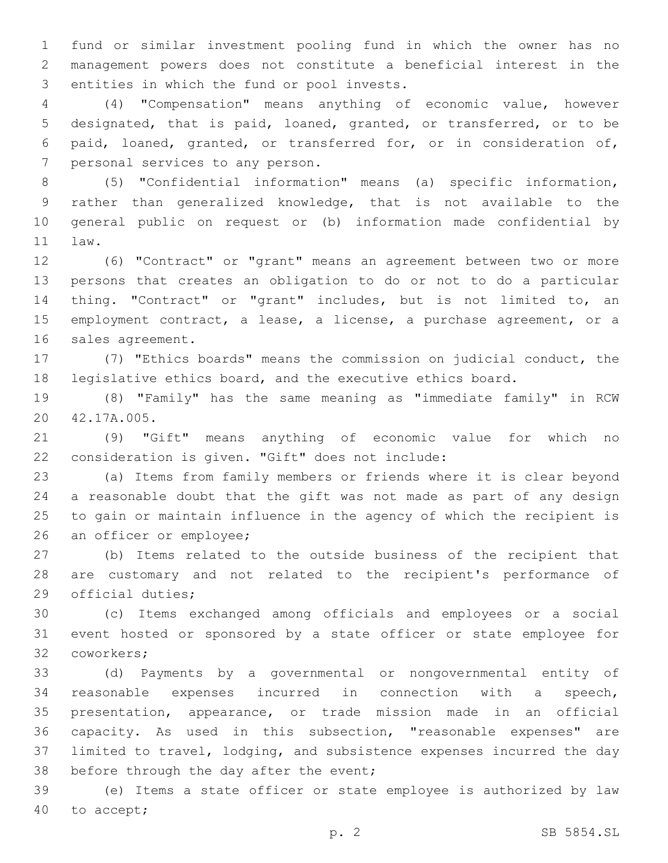fund or similar investment pooling fund in which the owner has no management powers does not constitute a beneficial interest in the 3 entities in which the fund or pool invests.

 (4) "Compensation" means anything of economic value, however designated, that is paid, loaned, granted, or transferred, or to be paid, loaned, granted, or transferred for, or in consideration of, 7 personal services to any person.

 (5) "Confidential information" means (a) specific information, rather than generalized knowledge, that is not available to the general public on request or (b) information made confidential by 11 law.

 (6) "Contract" or "grant" means an agreement between two or more persons that creates an obligation to do or not to do a particular thing. "Contract" or "grant" includes, but is not limited to, an employment contract, a lease, a license, a purchase agreement, or a 16 sales agreement.

 (7) "Ethics boards" means the commission on judicial conduct, the legislative ethics board, and the executive ethics board.

 (8) "Family" has the same meaning as "immediate family" in RCW 20 42.17A.005.

 (9) "Gift" means anything of economic value for which no 22 consideration is given. "Gift" does not include:

 (a) Items from family members or friends where it is clear beyond a reasonable doubt that the gift was not made as part of any design to gain or maintain influence in the agency of which the recipient is 26 an officer or employee;

 (b) Items related to the outside business of the recipient that are customary and not related to the recipient's performance of 29 official duties;

 (c) Items exchanged among officials and employees or a social event hosted or sponsored by a state officer or state employee for 32 coworkers;

 (d) Payments by a governmental or nongovernmental entity of reasonable expenses incurred in connection with a speech, presentation, appearance, or trade mission made in an official capacity. As used in this subsection, "reasonable expenses" are limited to travel, lodging, and subsistence expenses incurred the day 38 before through the day after the event;

 (e) Items a state officer or state employee is authorized by law 40 to accept;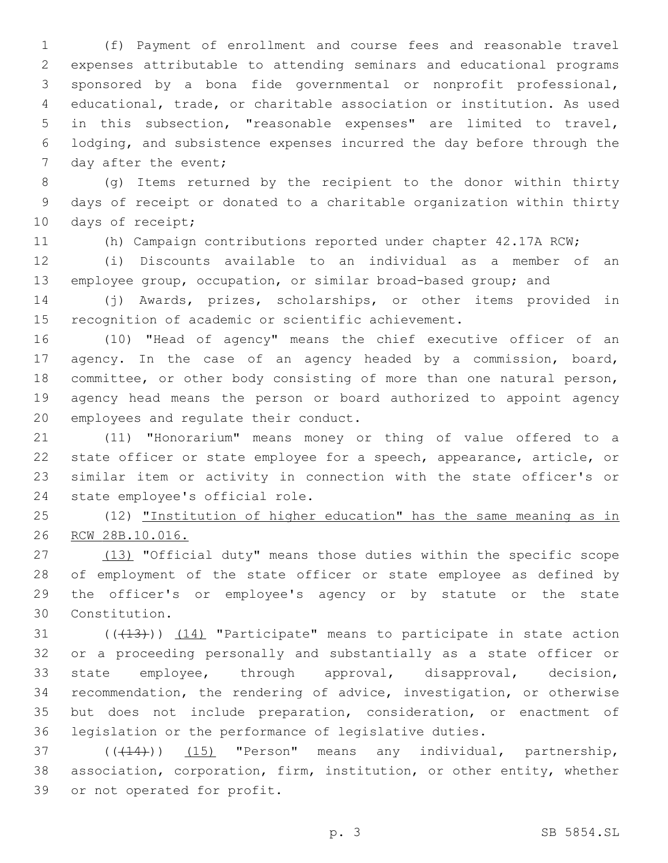(f) Payment of enrollment and course fees and reasonable travel expenses attributable to attending seminars and educational programs sponsored by a bona fide governmental or nonprofit professional, educational, trade, or charitable association or institution. As used in this subsection, "reasonable expenses" are limited to travel, lodging, and subsistence expenses incurred the day before through the 7 day after the event;

 (g) Items returned by the recipient to the donor within thirty days of receipt or donated to a charitable organization within thirty 10 days of receipt;

(h) Campaign contributions reported under chapter 42.17A RCW;

 (i) Discounts available to an individual as a member of an employee group, occupation, or similar broad-based group; and

 (j) Awards, prizes, scholarships, or other items provided in recognition of academic or scientific achievement.

 (10) "Head of agency" means the chief executive officer of an agency. In the case of an agency headed by a commission, board, committee, or other body consisting of more than one natural person, agency head means the person or board authorized to appoint agency 20 employees and regulate their conduct.

 (11) "Honorarium" means money or thing of value offered to a state officer or state employee for a speech, appearance, article, or similar item or activity in connection with the state officer's or 24 state employee's official role.

 (12) "Institution of higher education" has the same meaning as in RCW 28B.10.016.

27 (13) "Official duty" means those duties within the specific scope of employment of the state officer or state employee as defined by the officer's or employee's agency or by statute or the state Constitution.30

31 ((+13))) (14) "Participate" means to participate in state action or a proceeding personally and substantially as a state officer or state employee, through approval, disapproval, decision, recommendation, the rendering of advice, investigation, or otherwise but does not include preparation, consideration, or enactment of legislation or the performance of legislative duties.

37 (((14))) (15) "Person" means any individual, partnership, association, corporation, firm, institution, or other entity, whether 39 or not operated for profit.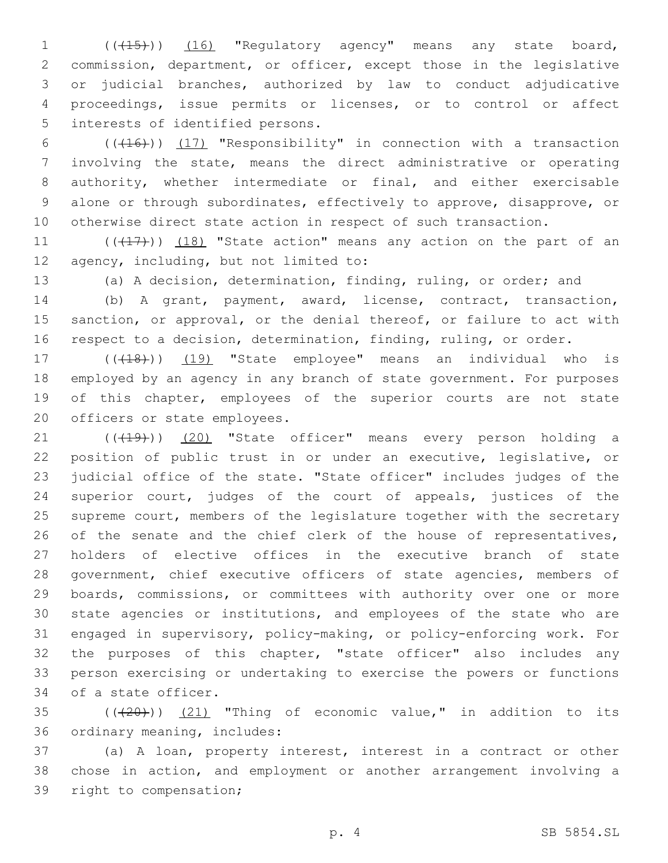1 (( $(15)$ )) (16) "Regulatory agency" means any state board, 2 commission, department, or officer, except those in the legislative 3 or judicial branches, authorized by law to conduct adjudicative 4 proceedings, issue permits or licenses, or to control or affect 5 interests of identified persons.

 $((+16))$   $(17)$  "Responsibility" in connection with a transaction involving the state, means the direct administrative or operating authority, whether intermediate or final, and either exercisable alone or through subordinates, effectively to approve, disapprove, or otherwise direct state action in respect of such transaction.

11  $((+17))$   $(18)$  "State action" means any action on the part of an 12 agency, including, but not limited to:

13 (a) A decision, determination, finding, ruling, or order; and

14 (b) A grant, payment, award, license, contract, transaction, 15 sanction, or approval, or the denial thereof, or failure to act with 16 respect to a decision, determination, finding, ruling, or order.

17 (((18)) (19) "State employee" means an individual who is 18 employed by an agency in any branch of state government. For purposes 19 of this chapter, employees of the superior courts are not state 20 officers or state employees.

21 (((19))) (20) "State officer" means every person holding a position of public trust in or under an executive, legislative, or judicial office of the state. "State officer" includes judges of the superior court, judges of the court of appeals, justices of the supreme court, members of the legislature together with the secretary 26 of the senate and the chief clerk of the house of representatives, holders of elective offices in the executive branch of state 28 government, chief executive officers of state agencies, members of boards, commissions, or committees with authority over one or more state agencies or institutions, and employees of the state who are engaged in supervisory, policy-making, or policy-enforcing work. For the purposes of this chapter, "state officer" also includes any person exercising or undertaking to exercise the powers or functions 34 of a state officer.

 $35$  ( $(\overline{+20})$ )  $(21)$  "Thing of economic value," in addition to its 36 ordinary meaning, includes:

37 (a) A loan, property interest, interest in a contract or other 38 chose in action, and employment or another arrangement involving a 39 right to compensation;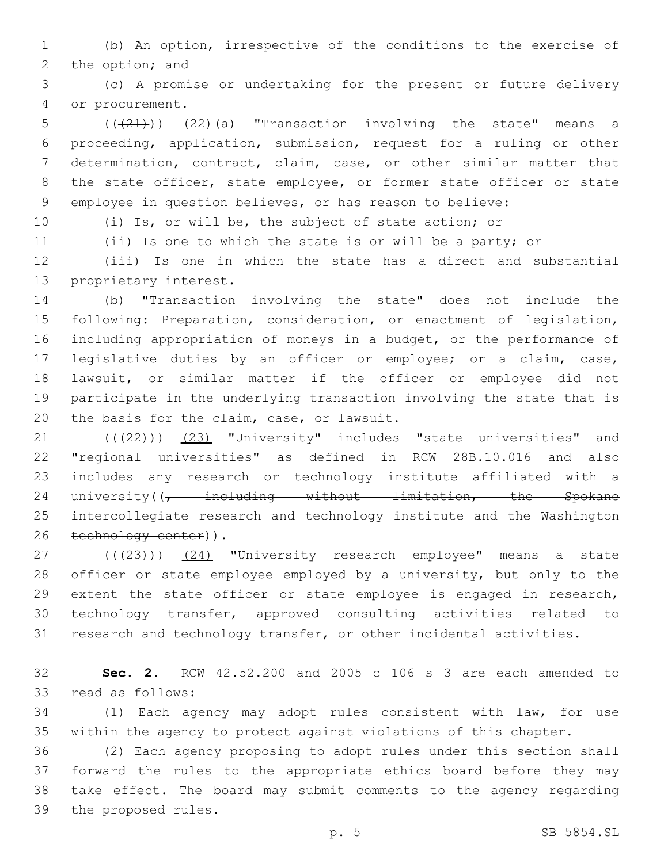(b) An option, irrespective of the conditions to the exercise of 2 the option; and

 (c) A promise or undertaking for the present or future delivery 4 or procurement.

 $((+21))$   $(22)$  (a) "Transaction involving the state" means a proceeding, application, submission, request for a ruling or other determination, contract, claim, case, or other similar matter that 8 the state officer, state employee, or former state officer or state employee in question believes, or has reason to believe:

(i) Is, or will be, the subject of state action; or

(ii) Is one to which the state is or will be a party; or

 (iii) Is one in which the state has a direct and substantial 13 proprietary interest.

 (b) "Transaction involving the state" does not include the following: Preparation, consideration, or enactment of legislation, including appropriation of moneys in a budget, or the performance of legislative duties by an officer or employee; or a claim, case, lawsuit, or similar matter if the officer or employee did not participate in the underlying transaction involving the state that is 20 the basis for the claim, case, or lawsuit.

21 (((22))) (23) "University" includes "state universities" and "regional universities" as defined in RCW 28B.10.016 and also includes any research or technology institute affiliated with a 24 university( $\frac{1}{7}$  including without limitation, the Spokane intercollegiate research and technology institute and the Washington 26 technology center)).

27 (((23))) (24) "University research employee" means a state officer or state employee employed by a university, but only to the extent the state officer or state employee is engaged in research, technology transfer, approved consulting activities related to research and technology transfer, or other incidental activities.

 **Sec. 2.** RCW 42.52.200 and 2005 c 106 s 3 are each amended to 33 read as follows:

 (1) Each agency may adopt rules consistent with law, for use within the agency to protect against violations of this chapter.

 (2) Each agency proposing to adopt rules under this section shall forward the rules to the appropriate ethics board before they may take effect. The board may submit comments to the agency regarding 39 the proposed rules.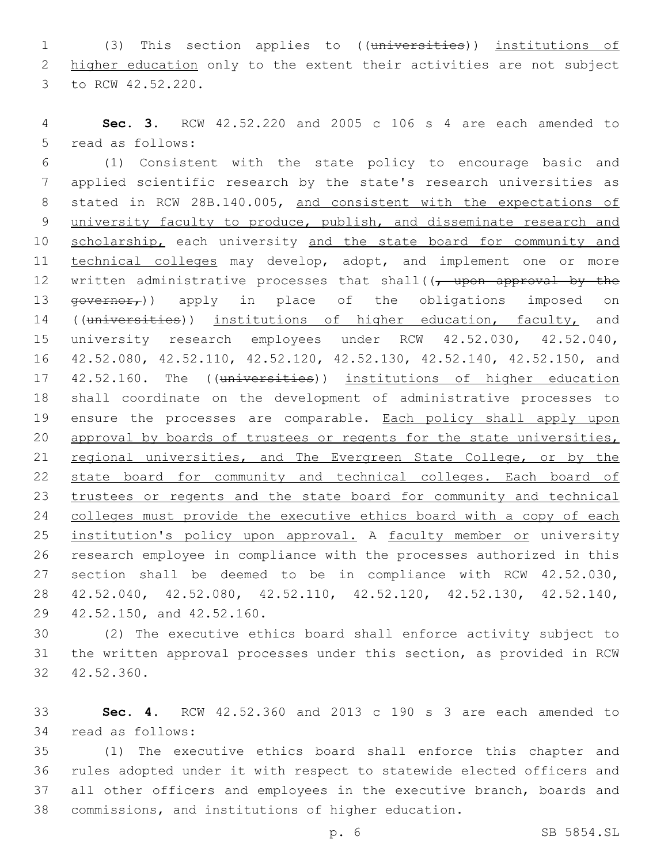1 (3) This section applies to ((universities)) institutions of 2 higher education only to the extent their activities are not subject 3 to RCW 42.52.220.

4 **Sec. 3.** RCW 42.52.220 and 2005 c 106 s 4 are each amended to 5 read as follows:

6 (1) Consistent with the state policy to encourage basic and 7 applied scientific research by the state's research universities as 8 stated in RCW 28B.140.005, and consistent with the expectations of 9 university faculty to produce, publish, and disseminate research and 10 scholarship, each university and the state board for community and 11 technical colleges may develop, adopt, and implement one or more 12 written administrative processes that shall((, upon approval by the 13  $\frac{13}{2}$   $\frac{13}{2}$   $\frac{13}{2}$   $\frac{13}{2}$   $\frac{13}{2}$   $\frac{13}{2}$   $\frac{13}{2}$   $\frac{13}{2}$   $\frac{13}{2}$   $\frac{13}{2}$   $\frac{13}{2}$   $\frac{13}{2}$   $\frac{13}{2}$   $\frac{13}{2}$   $\frac{13}{2}$   $\frac{13}{2}$   $\frac{13}{2}$   $\frac{13}{2}$   $\frac{13}{2}$   $\frac{13}{2}$ 14 ((universities)) institutions of higher education, faculty, and 15 university research employees under RCW 42.52.030, 42.52.040, 16 42.52.080, 42.52.110, 42.52.120, 42.52.130, 42.52.140, 42.52.150, and 17 42.52.160. The ((universities)) institutions of higher education 18 shall coordinate on the development of administrative processes to 19 ensure the processes are comparable. Each policy shall apply upon 20 approval by boards of trustees or regents for the state universities, 21 regional universities, and The Evergreen State College, or by the 22 state board for community and technical colleges. Each board of 23 trustees or regents and the state board for community and technical 24 colleges must provide the executive ethics board with a copy of each 25 institution's policy upon approval. A faculty member or university 26 research employee in compliance with the processes authorized in this 27 section shall be deemed to be in compliance with RCW 42.52.030, 28 42.52.040, 42.52.080, 42.52.110, 42.52.120, 42.52.130, 42.52.140, 29 42.52.150, and 42.52.160.

30 (2) The executive ethics board shall enforce activity subject to 31 the written approval processes under this section, as provided in RCW 32 42.52.360.

33 **Sec. 4.** RCW 42.52.360 and 2013 c 190 s 3 are each amended to 34 read as follows:

 (1) The executive ethics board shall enforce this chapter and rules adopted under it with respect to statewide elected officers and all other officers and employees in the executive branch, boards and commissions, and institutions of higher education.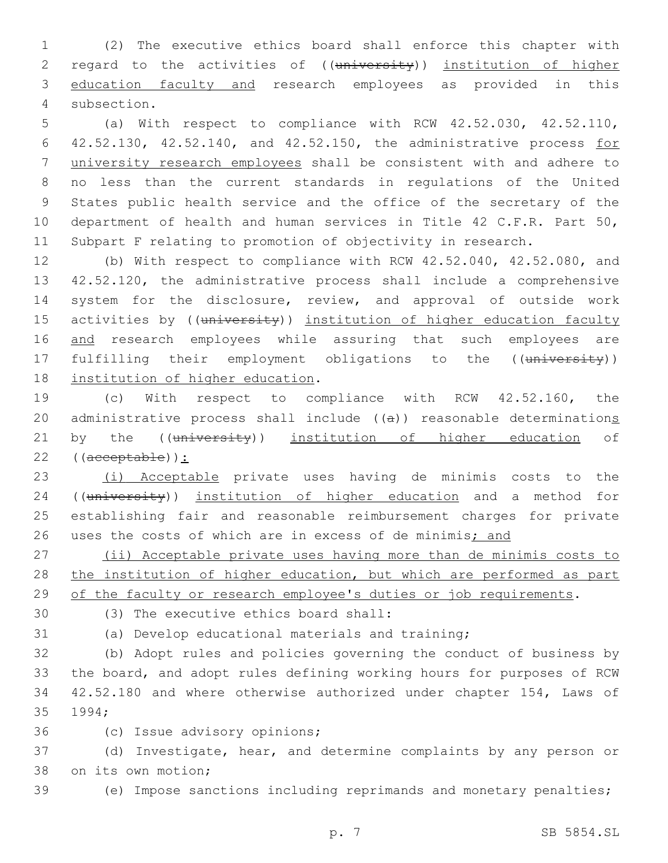1 (2) The executive ethics board shall enforce this chapter with 2 regard to the activities of ((university)) institution of higher 3 education faculty and research employees as provided in this 4 subsection.

 (a) With respect to compliance with RCW 42.52.030, 42.52.110, 42.52.130, 42.52.140, and 42.52.150, the administrative process for university research employees shall be consistent with and adhere to no less than the current standards in regulations of the United States public health service and the office of the secretary of the department of health and human services in Title 42 C.F.R. Part 50, Subpart F relating to promotion of objectivity in research.

12 (b) With respect to compliance with RCW 42.52.040, 42.52.080, and 13 42.52.120, the administrative process shall include a comprehensive 14 system for the disclosure, review, and approval of outside work 15 activities by ((university)) institution of higher education faculty 16 and research employees while assuring that such employees are 17 fulfilling their employment obligations to the ((university)) 18 institution of higher education.

19 (c) With respect to compliance with RCW 42.52.160, the 20 administrative process shall include ((a)) reasonable determinations 21 by the ((university)) institution of higher education of 22 ((acceptable)):

23 (i) Acceptable private uses having de minimis costs to the 24 ((university)) institution of higher education and a method for 25 establishing fair and reasonable reimbursement charges for private 26 uses the costs of which are in excess of de minimis; and

27 (ii) Acceptable private uses having more than de minimis costs to 28 the institution of higher education, but which are performed as part 29 of the faculty or research employee's duties or job requirements.

(3) The executive ethics board shall:30

31 (a) Develop educational materials and training;

 (b) Adopt rules and policies governing the conduct of business by the board, and adopt rules defining working hours for purposes of RCW 42.52.180 and where otherwise authorized under chapter 154, Laws of 35 1994;

36 (c) Issue advisory opinions;

37 (d) Investigate, hear, and determine complaints by any person or 38 on its own motion;

39 (e) Impose sanctions including reprimands and monetary penalties;